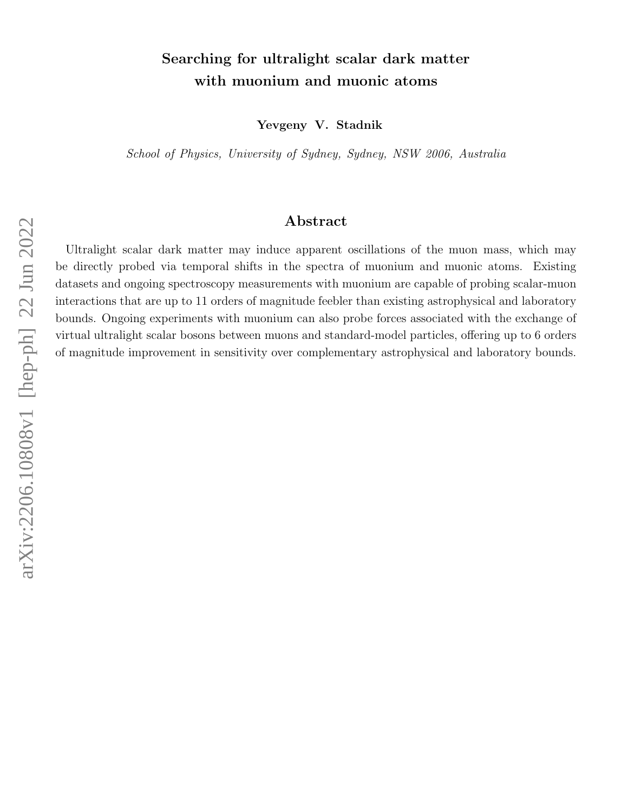## Searching for ultralight scalar dark matter with muonium and muonic atoms

Yevgeny V. Stadnik

School of Physics, University of Sydney, Sydney, NSW 2006, Australia

## Abstract

Ultralight scalar dark matter may induce apparent oscillations of the muon mass, which may be directly probed via temporal shifts in the spectra of muonium and muonic atoms. Existing datasets and ongoing spectroscopy measurements with muonium are capable of probing scalar-muon interactions that are up to 11 orders of magnitude feebler than existing astrophysical and laboratory bounds. Ongoing experiments with muonium can also probe forces associated with the exchange of virtual ultralight scalar bosons between muons and standard-model particles, offering up to 6 orders of magnitude improvement in sensitivity over complementary astrophysical and laboratory bounds.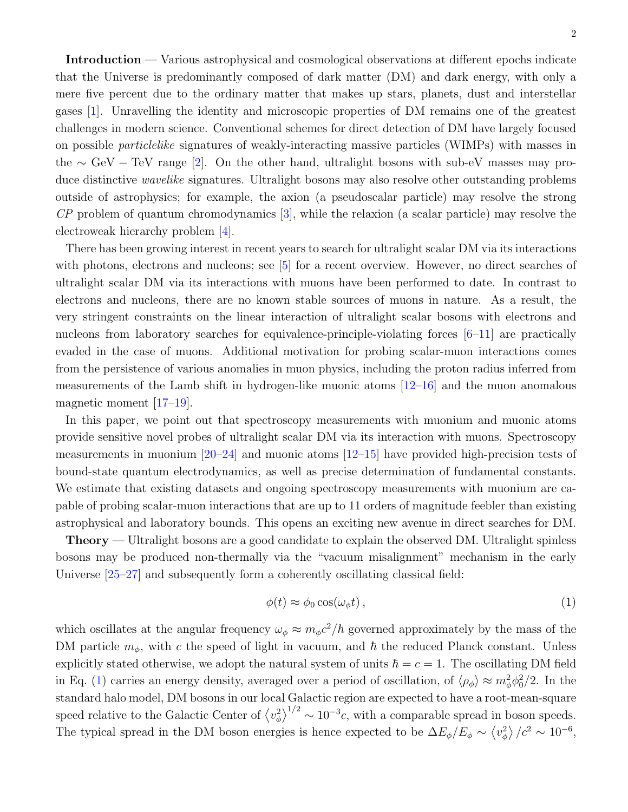Introduction — Various astrophysical and cosmological observations at different epochs indicate that the Universe is predominantly composed of dark matter (DM) and dark energy, with only a mere five percent due to the ordinary matter that makes up stars, planets, dust and interstellar gases [\[1\]](#page-8-0). Unravelling the identity and microscopic properties of DM remains one of the greatest challenges in modern science. Conventional schemes for direct detection of DM have largely focused on possible particlelike signatures of weakly-interacting massive particles (WIMPs) with masses in the  $\sim$  GeV – TeV range [\[2\]](#page-8-1). On the other hand, ultralight bosons with sub-eV masses may produce distinctive *wavelike* signatures. Ultralight bosons may also resolve other outstanding problems outside of astrophysics; for example, the axion (a pseudoscalar particle) may resolve the strong  $\mathbb{CP}$  problem of quantum chromodynamics [\[3\]](#page-8-2), while the relaxion (a scalar particle) may resolve the electroweak hierarchy problem [\[4\]](#page-8-3).

There has been growing interest in recent years to search for ultralight scalar DM via its interactions with photons, electrons and nucleons; see [\[5\]](#page-8-4) for a recent overview. However, no direct searches of ultralight scalar DM via its interactions with muons have been performed to date. In contrast to electrons and nucleons, there are no known stable sources of muons in nature. As a result, the very stringent constraints on the linear interaction of ultralight scalar bosons with electrons and nucleons from laboratory searches for equivalence-principle-violating forces  $[6-11]$  $[6-11]$  are practically evaded in the case of muons. Additional motivation for probing scalar-muon interactions comes from the persistence of various anomalies in muon physics, including the proton radius inferred from measurements of the Lamb shift in hydrogen-like muonic atoms [\[12](#page-8-7)[–16\]](#page-8-8) and the muon anomalous magnetic moment [\[17](#page-8-9)[–19\]](#page-8-10).

In this paper, we point out that spectroscopy measurements with muonium and muonic atoms provide sensitive novel probes of ultralight scalar DM via its interaction with muons. Spectroscopy measurements in muonium  $[20-24]$  $[20-24]$  and muonic atoms  $[12-15]$  $[12-15]$  have provided high-precision tests of bound-state quantum electrodynamics, as well as precise determination of fundamental constants. We estimate that existing datasets and ongoing spectroscopy measurements with muonium are capable of probing scalar-muon interactions that are up to 11 orders of magnitude feebler than existing astrophysical and laboratory bounds. This opens an exciting new avenue in direct searches for DM.

Theory — Ultralight bosons are a good candidate to explain the observed DM. Ultralight spinless bosons may be produced non-thermally via the "vacuum misalignment" mechanism in the early Universe [\[25–](#page-9-2)[27\]](#page-9-3) and subsequently form a coherently oscillating classical field:

<span id="page-1-0"></span>
$$
\phi(t) \approx \phi_0 \cos(\omega_\phi t) \,, \tag{1}
$$

which oscillates at the angular frequency  $\omega_{\phi} \approx m_{\phi} c^2/\hbar$  governed approximately by the mass of the DM particle  $m_{\phi}$ , with c the speed of light in vacuum, and  $\hbar$  the reduced Planck constant. Unless explicitly stated otherwise, we adopt the natural system of units  $\hbar = c = 1$ . The oscillating DM field in Eq. [\(1\)](#page-1-0) carries an energy density, averaged over a period of oscillation, of  $\langle \rho_{\phi} \rangle \approx m_{\phi}^2 \phi_0^2/2$ . In the standard halo model, DM bosons in our local Galactic region are expected to have a root-mean-square speed relative to the Galactic Center of  $\langle v_{\phi}^2 \rangle^{1/2} \sim 10^{-3}c$ , with a comparable spread in boson speeds. The typical spread in the DM boson energies is hence expected to be  $\Delta E_{\phi}/E_{\phi} \sim \langle v_{\phi}^2 \rangle / c^2 \sim 10^{-6}$ ,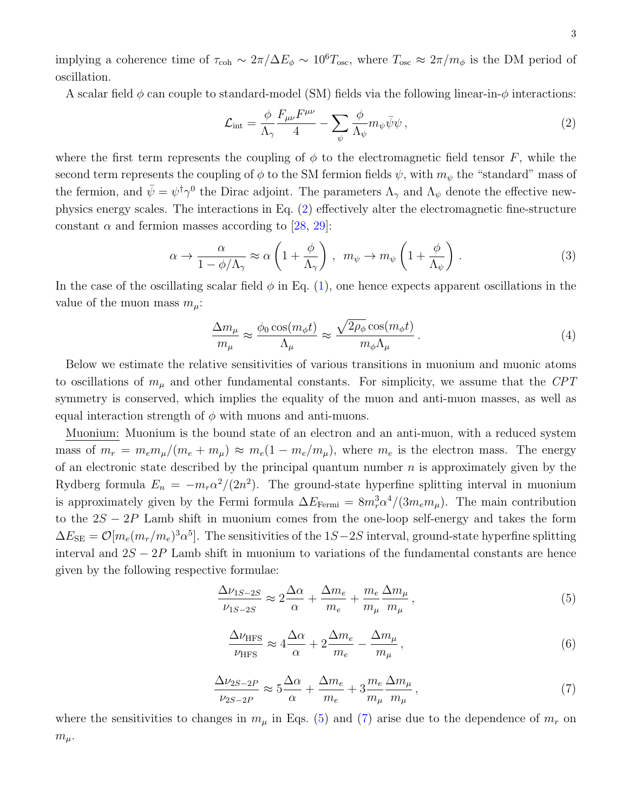implying a coherence time of  $\tau_{coh} \sim 2\pi/\Delta E_\phi \sim 10^6 T_{osc}$ , where  $T_{osc} \approx 2\pi/m_\phi$  is the DM period of oscillation.

A scalar field  $\phi$  can couple to standard-model (SM) fields via the following linear-in- $\phi$  interactions:

<span id="page-2-0"></span>
$$
\mathcal{L}_{\text{int}} = \frac{\phi}{\Lambda_{\gamma}} \frac{F_{\mu\nu} F^{\mu\nu}}{4} - \sum_{\psi} \frac{\phi}{\Lambda_{\psi}} m_{\psi} \bar{\psi} \psi , \qquad (2)
$$

where the first term represents the coupling of  $\phi$  to the electromagnetic field tensor F, while the second term represents the coupling of  $\phi$  to the SM fermion fields  $\psi$ , with  $m_{\psi}$  the "standard" mass of the fermion, and  $\bar{\psi} = \psi^{\dagger} \gamma^0$  the Dirac adjoint. The parameters  $\Lambda_{\gamma}$  and  $\Lambda_{\psi}$  denote the effective newphysics energy scales. The interactions in Eq. [\(2\)](#page-2-0) effectively alter the electromagnetic fine-structure constant  $\alpha$  and fermion masses according to [\[28,](#page-9-4) [29\]](#page-9-5):

<span id="page-2-5"></span>
$$
\alpha \to \frac{\alpha}{1 - \phi/\Lambda_{\gamma}} \approx \alpha \left( 1 + \frac{\phi}{\Lambda_{\gamma}} \right) , \ \ m_{\psi} \to m_{\psi} \left( 1 + \frac{\phi}{\Lambda_{\psi}} \right) . \tag{3}
$$

In the case of the oscillating scalar field  $\phi$  in Eq. [\(1\)](#page-1-0), one hence expects apparent oscillations in the value of the muon mass  $m_\mu$ :

<span id="page-2-3"></span>
$$
\frac{\Delta m_{\mu}}{m_{\mu}} \approx \frac{\phi_0 \cos(m_{\phi} t)}{\Lambda_{\mu}} \approx \frac{\sqrt{2\rho_{\phi}} \cos(m_{\phi} t)}{m_{\phi} \Lambda_{\mu}}.
$$
\n(4)

Below we estimate the relative sensitivities of various transitions in muonium and muonic atoms to oscillations of  $m_{\mu}$  and other fundamental constants. For simplicity, we assume that the CPT symmetry is conserved, which implies the equality of the muon and anti-muon masses, as well as equal interaction strength of  $\phi$  with muons and anti-muons.

Muonium: Muonium is the bound state of an electron and an anti-muon, with a reduced system mass of  $m_r = m_e m_\mu/(m_e + m_\mu) \approx m_e (1 - m_e/m_\mu)$ , where  $m_e$  is the electron mass. The energy of an electronic state described by the principal quantum number  $n$  is approximately given by the Rydberg formula  $E_n = -m_r\alpha^2/(2n^2)$ . The ground-state hyperfine splitting interval in muonium is approximately given by the Fermi formula  $\Delta E_{\text{Fermi}} = 8m_r^3 \alpha^4/(3m_e m_\mu)$ . The main contribution to the  $2S - 2P$  Lamb shift in muonium comes from the one-loop self-energy and takes the form  $\Delta E_{\text{SE}} = \mathcal{O}[m_e(m_r/m_e)^3 \alpha^5]$ . The sensitivities of the 1S–2S interval, ground-state hyperfine splitting interval and  $2S - 2P$  Lamb shift in muonium to variations of the fundamental constants are hence given by the following respective formulae:

<span id="page-2-1"></span>
$$
\frac{\Delta\nu_{1S-2S}}{\nu_{1S-2S}} \approx 2\frac{\Delta\alpha}{\alpha} + \frac{\Delta m_e}{m_e} + \frac{m_e}{m_\mu}\frac{\Delta m_\mu}{m_\mu},\tag{5}
$$

<span id="page-2-4"></span>
$$
\frac{\Delta\nu_{\rm HFS}}{\nu_{\rm HFS}} \approx 4 \frac{\Delta\alpha}{\alpha} + 2 \frac{\Delta m_e}{m_e} - \frac{\Delta m_\mu}{m_\mu},\tag{6}
$$

<span id="page-2-2"></span>
$$
\frac{\Delta \nu_{2S-2P}}{\nu_{2S-2P}} \approx 5 \frac{\Delta \alpha}{\alpha} + \frac{\Delta m_e}{m_e} + 3 \frac{m_e}{m_\mu} \frac{\Delta m_\mu}{m_\mu},\tag{7}
$$

where the sensitivities to changes in  $m_{\mu}$  in Eqs. [\(5\)](#page-2-1) and [\(7\)](#page-2-2) arise due to the dependence of  $m_{r}$  on  $m_\mu$ .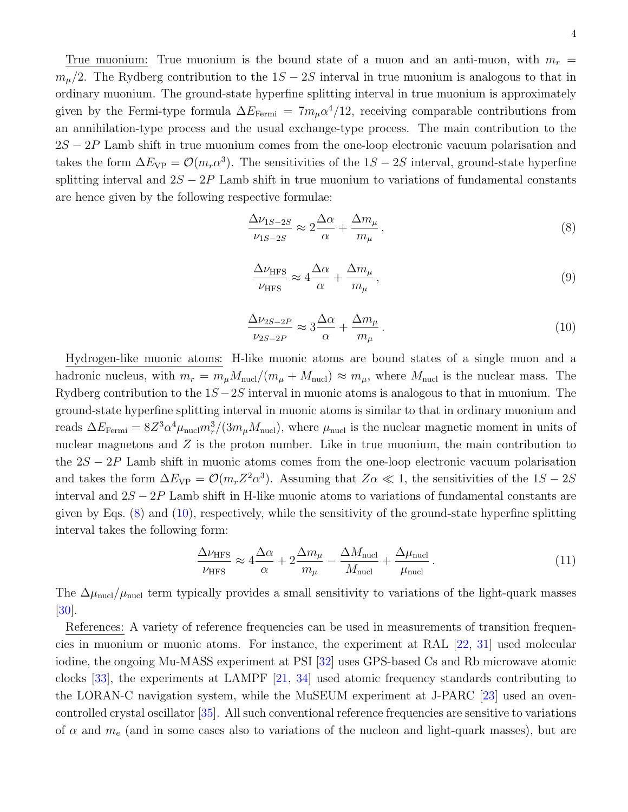True muonium: True muonium is the bound state of a muon and an anti-muon, with  $m_r =$  $m_{\mu}/2$ . The Rydberg contribution to the  $1S - 2S$  interval in true muonium is analogous to that in ordinary muonium. The ground-state hyperfine splitting interval in true muonium is approximately given by the Fermi-type formula  $\Delta E_{\text{Fermi}} = 7m_{\mu} \alpha^4/12$ , receiving comparable contributions from an annihilation-type process and the usual exchange-type process. The main contribution to the  $2S - 2P$  Lamb shift in true muonium comes from the one-loop electronic vacuum polarisation and takes the form  $\Delta E_{VP} = \mathcal{O}(m_r \alpha^3)$ . The sensitivities of the 1S – 2S interval, ground-state hyperfine splitting interval and  $2S - 2P$  Lamb shift in true muonium to variations of fundamental constants are hence given by the following respective formulae:

<span id="page-3-0"></span>
$$
\frac{\Delta \nu_{1S-2S}}{\nu_{1S-2S}} \approx 2 \frac{\Delta \alpha}{\alpha} + \frac{\Delta m_{\mu}}{m_{\mu}},\tag{8}
$$

$$
\frac{\Delta\nu_{\rm HFS}}{\nu_{\rm HFS}} \approx 4 \frac{\Delta\alpha}{\alpha} + \frac{\Delta m_{\mu}}{m_{\mu}},\tag{9}
$$

<span id="page-3-1"></span>
$$
\frac{\Delta \nu_{2S-2P}}{\nu_{2S-2P}} \approx 3 \frac{\Delta \alpha}{\alpha} + \frac{\Delta m_{\mu}}{m_{\mu}}.
$$
\n(10)

Hydrogen-like muonic atoms: H-like muonic atoms are bound states of a single muon and a hadronic nucleus, with  $m_r = m_\mu M_{\text{nucl}}/(m_\mu + M_{\text{nucl}}) \approx m_\mu$ , where  $M_{\text{nucl}}$  is the nuclear mass. The Rydberg contribution to the  $1S - 2S$  interval in muonic atoms is analogous to that in muonium. The ground-state hyperfine splitting interval in muonic atoms is similar to that in ordinary muonium and reads  $\Delta E_{\text{Fermi}} = 8Z^3 \alpha^4 \mu_{\text{nucl}} m_r^3/(3m_\mu M_{\text{nucl}})$ , where  $\mu_{\text{nucl}}$  is the nuclear magnetic moment in units of nuclear magnetons and  $Z$  is the proton number. Like in true muonium, the main contribution to the  $2S - 2P$  Lamb shift in muonic atoms comes from the one-loop electronic vacuum polarisation and takes the form  $\Delta E_{VP} = \mathcal{O}(m_r Z^2 \alpha^3)$ . Assuming that  $Z\alpha \ll 1$ , the sensitivities of the  $1S - 2S$ interval and  $2S - 2P$  Lamb shift in H-like muonic atoms to variations of fundamental constants are given by Eqs.  $(8)$  and  $(10)$ , respectively, while the sensitivity of the ground-state hyperfine splitting interval takes the following form:

<span id="page-3-2"></span>
$$
\frac{\Delta\nu_{\rm HFS}}{\nu_{\rm HFS}} \approx 4 \frac{\Delta\alpha}{\alpha} + 2 \frac{\Delta m_{\mu}}{m_{\mu}} - \frac{\Delta M_{\rm nucl}}{M_{\rm nucl}} + \frac{\Delta \mu_{\rm nucl}}{\mu_{\rm nucl}}.
$$
\n(11)

The  $\Delta\mu_{\rm nucl}/\mu_{\rm nucl}$  term typically provides a small sensitivity to variations of the light-quark masses [\[30\]](#page-9-6).

References: A variety of reference frequencies can be used in measurements of transition frequencies in muonium or muonic atoms. For instance, the experiment at RAL [\[22,](#page-9-7) [31\]](#page-9-8) used molecular iodine, the ongoing Mu-MASS experiment at PSI [\[32\]](#page-9-9) uses GPS-based Cs and Rb microwave atomic clocks [\[33\]](#page-9-10), the experiments at LAMPF [\[21,](#page-9-11) [34\]](#page-9-12) used atomic frequency standards contributing to the LORAN-C navigation system, while the MuSEUM experiment at J-PARC [\[23\]](#page-9-13) used an ovencontrolled crystal oscillator [\[35\]](#page-9-14). All such conventional reference frequencies are sensitive to variations of  $\alpha$  and  $m_e$  (and in some cases also to variations of the nucleon and light-quark masses), but are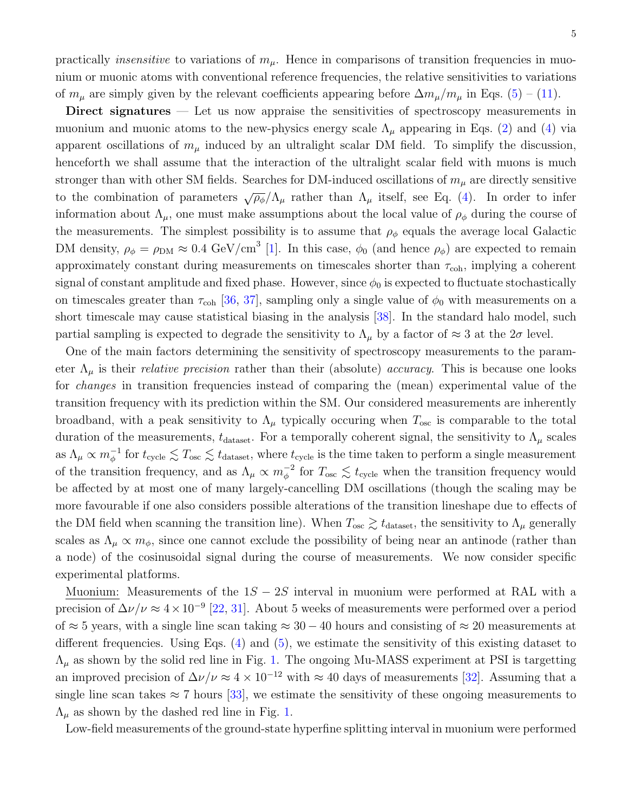Direct signatures — Let us now appraise the sensitivities of spectroscopy measurements in muonium and muonic atoms to the new-physics energy scale  $\Lambda_{\mu}$  appearing in Eqs. [\(2\)](#page-2-0) and [\(4\)](#page-2-3) via apparent oscillations of  $m_{\mu}$  induced by an ultralight scalar DM field. To simplify the discussion, henceforth we shall assume that the interaction of the ultralight scalar field with muons is much stronger than with other SM fields. Searches for DM-induced oscillations of  $m_{\mu}$  are directly sensitive to the combination of parameters  $\sqrt{\rho_{\phi}}/\Lambda_{\mu}$  rather than  $\Lambda_{\mu}$  itself, see Eq. [\(4\)](#page-2-3). In order to infer information about  $\Lambda_{\mu}$ , one must make assumptions about the local value of  $\rho_{\phi}$  during the course of the measurements. The simplest possibility is to assume that  $\rho_{\phi}$  equals the average local Galactic DM density,  $\rho_{\phi} = \rho_{DM} \approx 0.4 \text{ GeV/cm}^3$  [\[1\]](#page-8-0). In this case,  $\phi_0$  (and hence  $\rho_{\phi}$ ) are expected to remain approximately constant during measurements on timescales shorter than  $\tau_{coh}$ , implying a coherent signal of constant amplitude and fixed phase. However, since  $\phi_0$  is expected to fluctuate stochastically on timescales greater than  $\tau_{coh}$  [\[36,](#page-9-15) [37\]](#page-9-16), sampling only a single value of  $\phi_0$  with measurements on a short timescale may cause statistical biasing in the analysis [\[38\]](#page-9-17). In the standard halo model, such partial sampling is expected to degrade the sensitivity to  $\Lambda_{\mu}$  by a factor of  $\approx 3$  at the  $2\sigma$  level.

One of the main factors determining the sensitivity of spectroscopy measurements to the parameter  $\Lambda_{\mu}$  is their *relative precision* rather than their (absolute) *accuracy*. This is because one looks for changes in transition frequencies instead of comparing the (mean) experimental value of the transition frequency with its prediction within the SM. Our considered measurements are inherently broadband, with a peak sensitivity to  $\Lambda_{\mu}$  typically occuring when  $T_{\rm osc}$  is comparable to the total duration of the measurements,  $t_{\text{dataset}}$ . For a temporally coherent signal, the sensitivity to  $\Lambda_{\mu}$  scales as  $\Lambda_\mu \propto m_\phi^{-1}$  for  $t_{\text{cycle}} \lesssim T_{\text{osc}} \lesssim t_{\text{dataset}}$ , where  $t_{\text{cycle}}$  is the time taken to perform a single measurement of the transition frequency, and as  $\Lambda_\mu \propto m_\phi^{-2}$  for  $T_{\rm osc} \lesssim t_{\rm cycle}$  when the transition frequency would be affected by at most one of many largely-cancelling DM oscillations (though the scaling may be more favourable if one also considers possible alterations of the transition lineshape due to effects of the DM field when scanning the transition line). When  $T_{\text{osc}} \gtrsim t_{\text{dataset}}$ , the sensitivity to  $\Lambda_{\mu}$  generally scales as  $\Lambda_{\mu} \propto m_{\phi}$ , since one cannot exclude the possibility of being near an antinode (rather than a node) of the cosinusoidal signal during the course of measurements. We now consider specific experimental platforms.

Muonium: Measurements of the  $1S - 2S$  interval in muonium were performed at RAL with a precision of  $\Delta \nu / \nu \approx 4 \times 10^{-9}$  [\[22,](#page-9-7) [31\]](#page-9-8). About 5 weeks of measurements were performed over a period of  $\approx$  5 years, with a single line scan taking  $\approx$  30 – 40 hours and consisting of  $\approx$  20 measurements at different frequencies. Using Eqs.  $(4)$  and  $(5)$ , we estimate the sensitivity of this existing dataset to  $\Lambda_{\mu}$  as shown by the solid red line in Fig. [1.](#page-6-0) The ongoing Mu-MASS experiment at PSI is targetting an improved precision of  $\Delta \nu / \nu \approx 4 \times 10^{-12}$  with  $\approx 40$  days of measurements [\[32\]](#page-9-9). Assuming that a single line scan takes  $\approx 7$  hours [\[33\]](#page-9-10), we estimate the sensitivity of these ongoing measurements to  $\Lambda_{\mu}$  as shown by the dashed red line in Fig. [1.](#page-6-0)

Low-field measurements of the ground-state hyperfine splitting interval in muonium were performed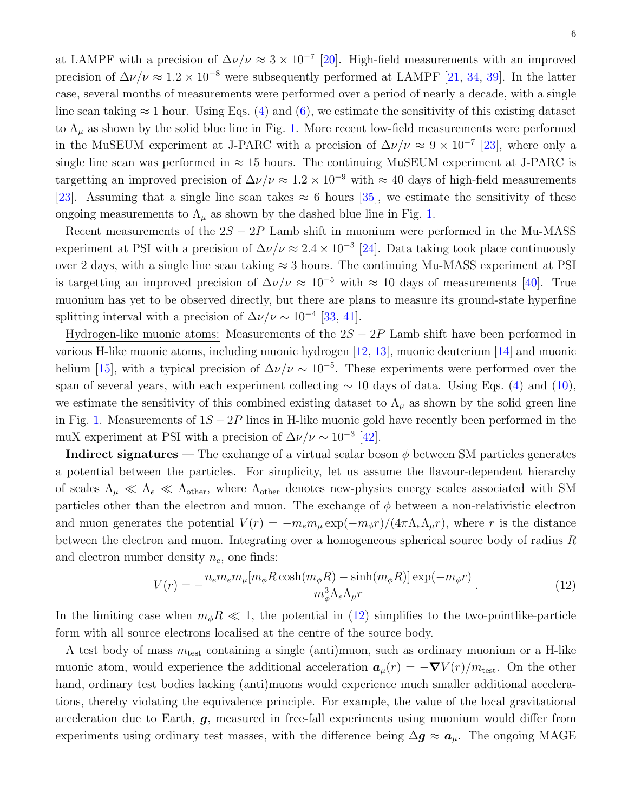at LAMPF with a precision of  $\Delta \nu / \nu \approx 3 \times 10^{-7}$  [\[20\]](#page-9-0). High-field measurements with an improved precision of  $\Delta \nu / \nu \approx 1.2 \times 10^{-8}$  were subsequently performed at LAMPF [\[21,](#page-9-11) [34,](#page-9-12) [39\]](#page-9-18). In the latter case, several months of measurements were performed over a period of nearly a decade, with a single line scan taking  $\approx 1$  hour. Using Eqs. [\(4\)](#page-2-3) and [\(6\)](#page-2-4), we estimate the sensitivity of this existing dataset to  $\Lambda_{\mu}$  as shown by the solid blue line in Fig. [1.](#page-6-0) More recent low-field measurements were performed in the MuSEUM experiment at J-PARC with a precision of  $\Delta \nu / \nu \approx 9 \times 10^{-7}$  [\[23\]](#page-9-13), where only a single line scan was performed in  $\approx 15$  hours. The continuing MuSEUM experiment at J-PARC is targetting an improved precision of  $\Delta \nu / \nu \approx 1.2 \times 10^{-9}$  with  $\approx 40$  days of high-field measurements [\[23\]](#page-9-13). Assuming that a single line scan takes  $\approx 6$  hours [\[35\]](#page-9-14), we estimate the sensitivity of these ongoing measurements to  $\Lambda_{\mu}$  as shown by the dashed blue line in Fig. [1.](#page-6-0)

Recent measurements of the  $2S - 2P$  Lamb shift in muonium were performed in the Mu-MASS experiment at PSI with a precision of  $\Delta \nu / \nu \approx 2.4 \times 10^{-3}$  [\[24\]](#page-9-1). Data taking took place continuously over 2 days, with a single line scan taking  $\approx 3$  hours. The continuing Mu-MASS experiment at PSI is targetting an improved precision of  $\Delta \nu / \nu \approx 10^{-5}$  with  $\approx 10$  days of measurements [\[40\]](#page-9-19). True muonium has yet to be observed directly, but there are plans to measure its ground-state hyperfine splitting interval with a precision of  $\Delta \nu / \nu \sim 10^{-4}$  [\[33,](#page-9-10) [41\]](#page-9-20).

Hydrogen-like muonic atoms: Measurements of the  $2S - 2P$  Lamb shift have been performed in various H-like muonic atoms, including muonic hydrogen [\[12,](#page-8-7) [13\]](#page-8-12), muonic deuterium [\[14\]](#page-8-13) and muonic helium [\[15\]](#page-8-11), with a typical precision of  $\Delta \nu / \nu \sim 10^{-5}$ . These experiments were performed over the span of several years, with each experiment collecting  $\sim 10$  days of data. Using Eqs. [\(4\)](#page-2-3) and [\(10\)](#page-3-1), we estimate the sensitivity of this combined existing dataset to  $\Lambda_{\mu}$  as shown by the solid green line in Fig. [1.](#page-6-0) Measurements of  $1S - 2P$  lines in H-like muonic gold have recently been performed in the muX experiment at PSI with a precision of  $\Delta \nu / \nu \sim 10^{-3}$  [\[42\]](#page-9-21).

**Indirect signatures** — The exchange of a virtual scalar boson  $\phi$  between SM particles generates a potential between the particles. For simplicity, let us assume the flavour-dependent hierarchy of scales  $\Lambda_{\mu} \ll \Lambda_e \ll \Lambda_{\text{other}}$ , where  $\Lambda_{\text{other}}$  denotes new-physics energy scales associated with SM particles other than the electron and muon. The exchange of  $\phi$  between a non-relativistic electron and muon generates the potential  $V(r) = -m_e m_\mu \exp(-m_\phi r)/(4\pi \Lambda_e \Lambda_\mu r)$ , where r is the distance between the electron and muon. Integrating over a homogeneous spherical source body of radius R and electron number density  $n_e$ , one finds:

<span id="page-5-0"></span>
$$
V(r) = -\frac{n_e m_e m_\mu [m_\phi R \cosh(m_\phi R) - \sinh(m_\phi R)] \exp(-m_\phi r)}{m_\phi^3 \Lambda_e \Lambda_\mu r} \,. \tag{12}
$$

In the limiting case when  $m_{\phi}R \ll 1$ , the potential in [\(12\)](#page-5-0) simplifies to the two-pointlike-particle form with all source electrons localised at the centre of the source body.

A test body of mass  $m_{\text{test}}$  containing a single (anti)muon, such as ordinary muonium or a H-like muonic atom, would experience the additional acceleration  $a_{\mu}(r) = -\nabla V(r)/m_{\text{test}}$ . On the other hand, ordinary test bodies lacking (anti)muons would experience much smaller additional accelerations, thereby violating the equivalence principle. For example, the value of the local gravitational acceleration due to Earth,  $g$ , measured in free-fall experiments using muonium would differ from experiments using ordinary test masses, with the difference being  $\Delta g \approx a_\mu$ . The ongoing MAGE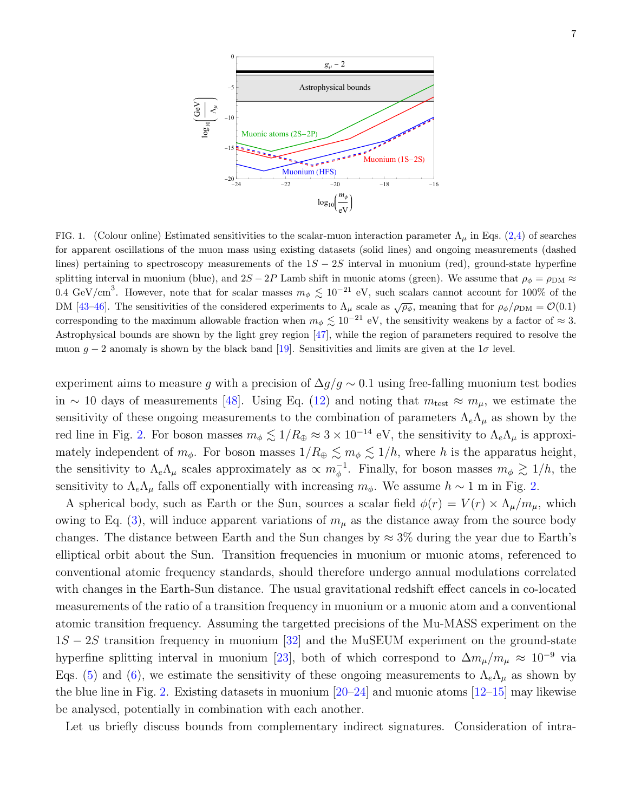

<span id="page-6-0"></span>FIG. 1. (Colour online) Estimated sensitivities to the scalar-muon interaction parameter  $\Lambda_{\mu}$  in Eqs. [\(2,](#page-2-0)[4\)](#page-2-3) of searches for apparent oscillations of the muon mass using existing datasets (solid lines) and ongoing measurements (dashed lines) pertaining to spectroscopy measurements of the  $1S - 2S$  interval in muonium (red), ground-state hyperfine splitting interval in muonium (blue), and  $2S - 2P$  Lamb shift in muonic atoms (green). We assume that  $\rho_{\phi} = \rho_{\rm DM} \approx$ 0.4 GeV/cm<sup>3</sup>. However, note that for scalar masses  $m_{\phi} \lesssim 10^{-21}$  eV, such scalars cannot account for 100% of the DM [\[43–](#page-9-22)[46\]](#page-9-23). The sensitivities of the considered experiments to  $\Lambda_{\mu}$  scale as  $\sqrt{\rho_{\phi}}$ , meaning that for  $\rho_{\phi}/\rho_{\rm DM} = \mathcal{O}(0.1)$ corresponding to the maximum allowable fraction when  $m_{\phi} \lesssim 10^{-21}$  eV, the sensitivity weakens by a factor of  $\approx 3$ . Astrophysical bounds are shown by the light grey region [\[47\]](#page-9-24), while the region of parameters required to resolve the muon  $g - 2$  anomaly is shown by the black band [\[19\]](#page-8-10). Sensitivities and limits are given at the  $1\sigma$  level.

experiment aims to measure g with a precision of  $\Delta g/g \sim 0.1$  using free-falling muonium test bodies in ∼ 10 days of measurements [\[48\]](#page-9-25). Using Eq. [\(12\)](#page-5-0) and noting that  $m_{\text{test}} \approx m_{\mu}$ , we estimate the sensitivity of these ongoing measurements to the combination of parameters  $\Lambda_e \Lambda_\mu$  as shown by the red line in Fig. [2.](#page-7-0) For boson masses  $m_{\phi} \lesssim 1/R_{\oplus} \approx 3 \times 10^{-14}$  eV, the sensitivity to  $\Lambda_e \Lambda_\mu$  is approximately independent of  $m_{\phi}$ . For boson masses  $1/R_{\oplus} \lesssim m_{\phi} \lesssim 1/h$ , where h is the apparatus height, the sensitivity to  $\Lambda_e \Lambda_\mu$  scales approximately as  $\propto m_\phi^{-1}$ . Finally, for boson masses  $m_\phi \gtrsim 1/h$ , the sensitivity to  $\Lambda_e\Lambda_\mu$  falls off exponentially with increasing  $m_\phi$ . We assume  $h \sim 1$  m in Fig. [2.](#page-7-0)

A spherical body, such as Earth or the Sun, sources a scalar field  $\phi(r) = V(r) \times \Lambda_\mu/m_\mu$ , which owing to Eq. [\(3\)](#page-2-5), will induce apparent variations of  $m_{\mu}$  as the distance away from the source body changes. The distance between Earth and the Sun changes by  $\approx 3\%$  during the year due to Earth's elliptical orbit about the Sun. Transition frequencies in muonium or muonic atoms, referenced to conventional atomic frequency standards, should therefore undergo annual modulations correlated with changes in the Earth-Sun distance. The usual gravitational redshift effect cancels in co-located measurements of the ratio of a transition frequency in muonium or a muonic atom and a conventional atomic transition frequency. Assuming the targetted precisions of the Mu-MASS experiment on the 1S − 2S transition frequency in muonium [\[32\]](#page-9-9) and the MuSEUM experiment on the ground-state hyperfine splitting interval in muonium [\[23\]](#page-9-13), both of which correspond to  $\Delta m_{\mu}/m_{\mu} \approx 10^{-9}$  via Eqs. [\(5\)](#page-2-1) and [\(6\)](#page-2-4), we estimate the sensitivity of these ongoing measurements to  $\Lambda_e\Lambda_\mu$  as shown by the blue line in Fig. [2.](#page-7-0) Existing datasets in muonium  $[20-24]$  $[20-24]$  and muonic atoms  $[12-15]$  $[12-15]$  may likewise be analysed, potentially in combination with each another.

Let us briefly discuss bounds from complementary indirect signatures. Consideration of intra-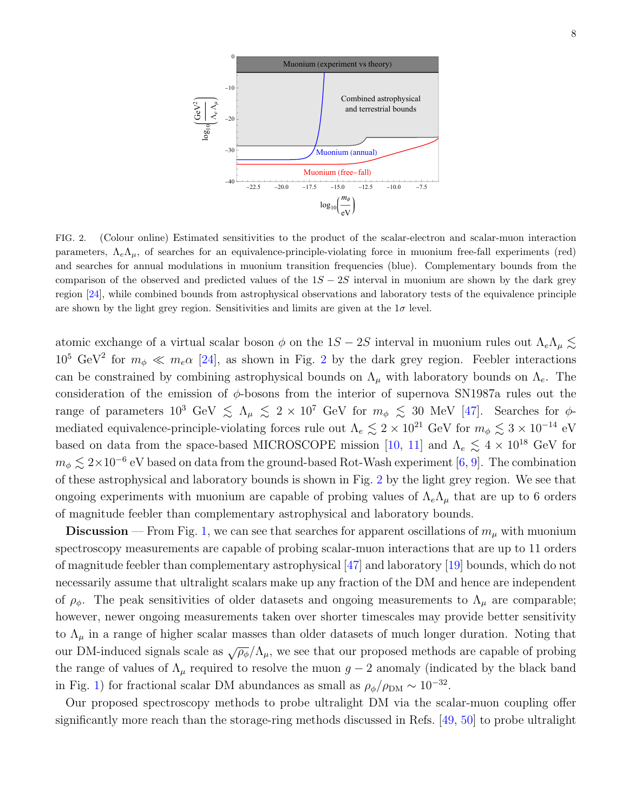

<span id="page-7-0"></span>FIG. 2. (Colour online) Estimated sensitivities to the product of the scalar-electron and scalar-muon interaction parameters,  $\Lambda_e \Lambda_u$ , of searches for an equivalence-principle-violating force in muonium free-fall experiments (red) and searches for annual modulations in muonium transition frequencies (blue). Complementary bounds from the comparison of the observed and predicted values of the  $1S - 2S$  interval in muonium are shown by the dark grey region [\[24\]](#page-9-1), while combined bounds from astrophysical observations and laboratory tests of the equivalence principle are shown by the light grey region. Sensitivities and limits are given at the  $1\sigma$  level.

atomic exchange of a virtual scalar boson  $\phi$  on the 1S – 2S interval in muonium rules out  $\Lambda_e\Lambda_\mu \lesssim$  $10^5$  GeV<sup>[2](#page-7-0)</sup> for  $m_{\phi} \ll m_e \alpha$  [\[24\]](#page-9-1), as shown in Fig. 2 by the dark grey region. Feebler interactions can be constrained by combining astrophysical bounds on  $\Lambda_{\mu}$  with laboratory bounds on  $\Lambda_{e}$ . The consideration of the emission of  $\phi$ -bosons from the interior of supernova SN1987a rules out the range of parameters  $10^3$  GeV  $\le \Lambda_\mu \le 2 \times 10^7$  GeV for  $m_\phi \le 30$  MeV [\[47\]](#page-9-24). Searches for  $\phi$ mediated equivalence-principle-violating forces rule out  $\Lambda_e \lesssim 2 \times 10^{21}$  GeV for  $m_\phi \lesssim 3 \times 10^{-14}$  eV based on data from the space-based MICROSCOPE mission [\[10,](#page-8-14) [11\]](#page-8-6) and  $\Lambda_e \lesssim 4 \times 10^{18}$  GeV for  $m_{\phi} \lesssim 2 \times 10^{-6}$  eV based on data from the ground-based Rot-Wash experiment [\[6,](#page-8-5) [9\]](#page-8-15). The combination of these astrophysical and laboratory bounds is shown in Fig. [2](#page-7-0) by the light grey region. We see that ongoing experiments with muonium are capable of probing values of  $\Lambda_e\Lambda_\mu$  that are up to 6 orders of magnitude feebler than complementary astrophysical and laboratory bounds.

**Discussion** — From Fig. [1,](#page-6-0) we can see that searches for apparent oscillations of  $m_{\mu}$  with muonium spectroscopy measurements are capable of probing scalar-muon interactions that are up to 11 orders of magnitude feebler than complementary astrophysical [\[47\]](#page-9-24) and laboratory [\[19\]](#page-8-10) bounds, which do not necessarily assume that ultralight scalars make up any fraction of the DM and hence are independent of  $\rho_{\phi}$ . The peak sensitivities of older datasets and ongoing measurements to  $\Lambda_{\mu}$  are comparable; however, newer ongoing measurements taken over shorter timescales may provide better sensitivity to  $\Lambda_{\mu}$  in a range of higher scalar masses than older datasets of much longer duration. Noting that our DM-induced signals scale as  $\sqrt{\rho_{\phi}}/\Lambda_{\mu}$ , we see that our proposed methods are capable of probing the range of values of  $\Lambda_{\mu}$  required to resolve the muon  $g - 2$  anomaly (indicated by the black band in Fig. [1\)](#page-6-0) for fractional scalar DM abundances as small as  $\rho_{\phi}/\rho_{\text{DM}} \sim 10^{-32}$ .

Our proposed spectroscopy methods to probe ultralight DM via the scalar-muon coupling offer significantly more reach than the storage-ring methods discussed in Refs. [\[49,](#page-9-26) [50\]](#page-10-0) to probe ultralight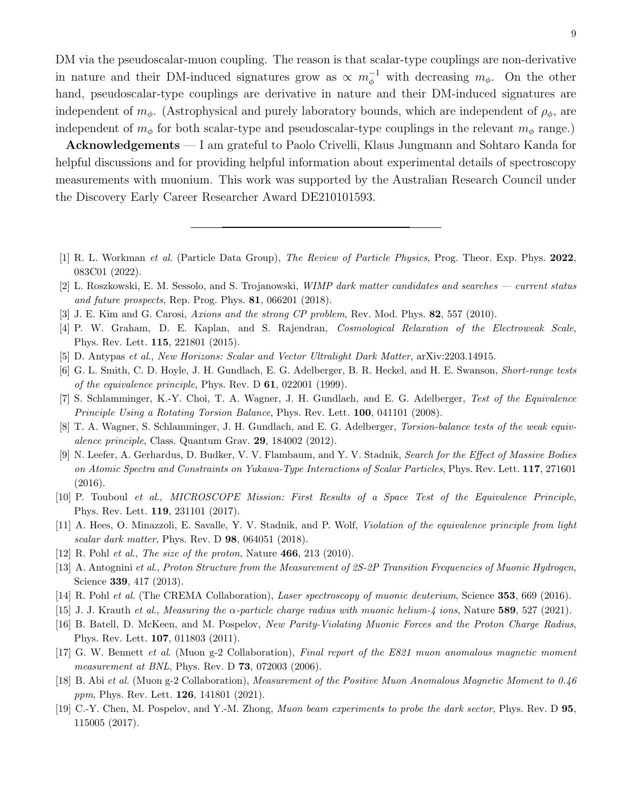DM via the pseudoscalar-muon coupling. The reason is that scalar-type couplings are non-derivative in nature and their DM-induced signatures grow as  $\propto m_{\phi}^{-1}$  with decreasing  $m_{\phi}$ . On the other hand, pseudoscalar-type couplings are derivative in nature and their DM-induced signatures are independent of  $m_{\phi}$ . (Astrophysical and purely laboratory bounds, which are independent of  $\rho_{\phi}$ , are independent of  $m_{\phi}$  for both scalar-type and pseudoscalar-type couplings in the relevant  $m_{\phi}$  range.)

Acknowledgements — I am grateful to Paolo Crivelli, Klaus Jungmann and Sohtaro Kanda for helpful discussions and for providing helpful information about experimental details of spectroscopy measurements with muonium. This work was supported by the Australian Research Council under the Discovery Early Career Researcher Award DE210101593.

- <span id="page-8-0"></span>[1] R. L. Workman et al. (Particle Data Group), The Review of Particle Physics, Prog. Theor. Exp. Phys. 2022, 083C01 (2022).
- <span id="page-8-1"></span>[2] L. Roszkowski, E. M. Sessolo, and S. Trojanowski, WIMP dark matter candidates and searches — current status and future prospects, Rep. Prog. Phys. 81, 066201 (2018).
- <span id="page-8-2"></span>[3] J. E. Kim and G. Carosi, Axions and the strong CP problem, Rev. Mod. Phys. 82, 557 (2010).
- <span id="page-8-3"></span>[4] P. W. Graham, D. E. Kaplan, and S. Rajendran, Cosmological Relaxation of the Electroweak Scale, Phys. Rev. Lett. 115, 221801 (2015).
- <span id="page-8-4"></span>[5] D. Antypas et al., New Horizons: Scalar and Vector Ultralight Dark Matter, arXiv:2203.14915.
- <span id="page-8-5"></span>[6] G. L. Smith, C. D. Hoyle, J. H. Gundlach, E. G. Adelberger, B. R. Heckel, and H. E. Swanson, Short-range tests of the equivalence principle, Phys. Rev. D 61, 022001 (1999).
- [7] S. Schlamminger, K.-Y. Choi, T. A. Wagner, J. H. Gundlach, and E. G. Adelberger, Test of the Equivalence Principle Using a Rotating Torsion Balance, Phys. Rev. Lett. 100, 041101 (2008).
- [8] T. A. Wagner, S. Schlamminger, J. H. Gundlach, and E. G. Adelberger, *Torsion-balance tests of the weak equiv*alence principle, Class. Quantum Grav. 29, 184002 (2012).
- <span id="page-8-15"></span>[9] N. Leefer, A. Gerhardus, D. Budker, V. V. Flambaum, and Y. V. Stadnik, Search for the Effect of Massive Bodies on Atomic Spectra and Constraints on Yukawa-Type Interactions of Scalar Particles, Phys. Rev. Lett. 117, 271601 (2016).
- <span id="page-8-14"></span>[10] P. Touboul et al., MICROSCOPE Mission: First Results of a Space Test of the Equivalence Principle, Phys. Rev. Lett. 119, 231101 (2017).
- <span id="page-8-6"></span>[11] A. Hees, O. Minazzoli, E. Savalle, Y. V. Stadnik, and P. Wolf, Violation of the equivalence principle from light scalar dark matter, Phys. Rev. D **98**, 064051 (2018).
- <span id="page-8-7"></span>[12] R. Pohl *et al., The size of the proton, Nature* **466**, 213 (2010).
- <span id="page-8-12"></span>[13] A. Antognini et al., Proton Structure from the Measurement of 2S-2P Transition Frequencies of Muonic Hydrogen, Science 339, 417 (2013).
- <span id="page-8-13"></span><span id="page-8-11"></span>[14] R. Pohl et al. (The CREMA Collaboration), Laser spectroscopy of muonic deuterium, Science 353, 669 (2016).
- <span id="page-8-8"></span>[15] J. J. Krauth et al., Measuring the  $\alpha$ -particle charge radius with muonic helium-4 ions, Nature 589, 527 (2021).
- [16] B. Batell, D. McKeen, and M. Pospelov, New Parity-Violating Muonic Forces and the Proton Charge Radius, Phys. Rev. Lett. 107, 011803 (2011).
- <span id="page-8-9"></span>[17] G. W. Bennett et al. (Muon g-2 Collaboration), Final report of the E821 muon anomalous magnetic moment measurement at BNL, Phys. Rev. D **73**, 072003 (2006).
- [18] B. Abi et al. (Muon g-2 Collaboration), Measurement of the Positive Muon Anomalous Magnetic Moment to 0.46 ppm, Phys. Rev. Lett. **126**, 141801 (2021).
- <span id="page-8-10"></span>[19] C.-Y. Chen, M. Pospelov, and Y.-M. Zhong, Muon beam experiments to probe the dark sector, Phys. Rev. D 95, 115005 (2017).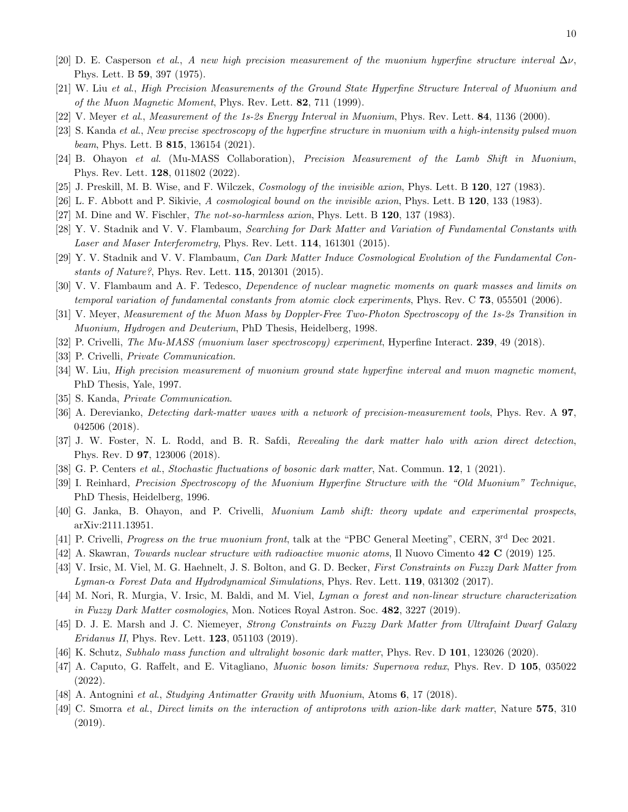- <span id="page-9-0"></span>[20] D. E. Casperson et al., A new high precision measurement of the muonium hyperfine structure interval  $\Delta \nu$ , Phys. Lett. B 59, 397 (1975).
- <span id="page-9-11"></span>[21] W. Liu et al., High Precision Measurements of the Ground State Hyperfine Structure Interval of Muonium and of the Muon Magnetic Moment, Phys. Rev. Lett. 82, 711 (1999).
- <span id="page-9-7"></span>[22] V. Meyer et al., Measurement of the 1s-2s Energy Interval in Muonium, Phys. Rev. Lett. 84, 1136 (2000).
- <span id="page-9-13"></span>[23] S. Kanda et al., New precise spectroscopy of the hyperfine structure in muonium with a high-intensity pulsed muon beam, Phys. Lett. B  $815$ , 136154 (2021).
- <span id="page-9-1"></span>[24] B. Ohayon et al. (Mu-MASS Collaboration), Precision Measurement of the Lamb Shift in Muonium, Phys. Rev. Lett. 128, 011802 (2022).
- <span id="page-9-2"></span>[25] J. Preskill, M. B. Wise, and F. Wilczek, Cosmology of the invisible axion, Phys. Lett. B 120, 127 (1983).
- [26] L. F. Abbott and P. Sikivie, A cosmological bound on the invisible axion, Phys. Lett. B 120, 133 (1983).
- <span id="page-9-3"></span>[27] M. Dine and W. Fischler, The not-so-harmless axion, Phys. Lett. B 120, 137 (1983).
- <span id="page-9-4"></span>[28] Y. V. Stadnik and V. V. Flambaum, Searching for Dark Matter and Variation of Fundamental Constants with Laser and Maser Interferometry, Phys. Rev. Lett. 114, 161301 (2015).
- <span id="page-9-5"></span>[29] Y. V. Stadnik and V. V. Flambaum, Can Dark Matter Induce Cosmological Evolution of the Fundamental Constants of Nature?, Phys. Rev. Lett. 115, 201301 (2015).
- <span id="page-9-6"></span>[30] V. V. Flambaum and A. F. Tedesco, Dependence of nuclear magnetic moments on quark masses and limits on temporal variation of fundamental constants from atomic clock experiments, Phys. Rev. C 73, 055501 (2006).
- <span id="page-9-8"></span>[31] V. Meyer, Measurement of the Muon Mass by Doppler-Free Two-Photon Spectroscopy of the 1s-2s Transition in Muonium, Hydrogen and Deuterium, PhD Thesis, Heidelberg, 1998.
- <span id="page-9-10"></span><span id="page-9-9"></span>[32] P. Crivelli, The Mu-MASS (muonium laser spectroscopy) experiment, Hyperfine Interact. 239, 49 (2018).
- [33] P. Crivelli, Private Communication.
- <span id="page-9-12"></span>[34] W. Liu, High precision measurement of muonium ground state hyperfine interval and muon magnetic moment, PhD Thesis, Yale, 1997.
- <span id="page-9-14"></span>[35] S. Kanda, Private Communication.
- <span id="page-9-15"></span>[36] A. Derevianko, Detecting dark-matter waves with a network of precision-measurement tools, Phys. Rev. A 97, 042506 (2018).
- <span id="page-9-16"></span>[37] J. W. Foster, N. L. Rodd, and B. R. Safdi, Revealing the dark matter halo with axion direct detection, Phys. Rev. D 97, 123006 (2018).
- <span id="page-9-17"></span>[38] G. P. Centers et al., Stochastic fluctuations of bosonic dark matter, Nat. Commun. 12, 1 (2021).
- <span id="page-9-18"></span>[39] I. Reinhard, Precision Spectroscopy of the Muonium Hyperfine Structure with the "Old Muonium" Technique, PhD Thesis, Heidelberg, 1996.
- <span id="page-9-19"></span>[40] G. Janka, B. Ohayon, and P. Crivelli, Muonium Lamb shift: theory update and experimental prospects, arXiv:2111.13951.
- <span id="page-9-20"></span>[41] P. Crivelli, Progress on the true muonium front, talk at the "PBC General Meeting", CERN, 3<sup>rd</sup> Dec 2021.
- <span id="page-9-21"></span>[42] A. Skawran, Towards nuclear structure with radioactive muonic atoms, Il Nuovo Cimento 42 C (2019) 125.
- <span id="page-9-22"></span>[43] V. Irsic, M. Viel, M. G. Haehnelt, J. S. Bolton, and G. D. Becker, First Constraints on Fuzzy Dark Matter from Lyman-α Forest Data and Hydrodynamical Simulations, Phys. Rev. Lett. 119, 031302 (2017).
- [44] M. Nori, R. Murgia, V. Irsic, M. Baldi, and M. Viel, Lyman α forest and non-linear structure characterization in Fuzzy Dark Matter cosmologies, Mon. Notices Royal Astron. Soc. 482, 3227 (2019).
- [45] D. J. E. Marsh and J. C. Niemeyer, Strong Constraints on Fuzzy Dark Matter from Ultrafaint Dwarf Galaxy *Eridanus II*, Phys. Rev. Lett. **123**, 051103 (2019).
- <span id="page-9-24"></span><span id="page-9-23"></span>[46] K. Schutz, Subhalo mass function and ultralight bosonic dark matter, Phys. Rev. D 101, 123026 (2020).
- [47] A. Caputo, G. Raffelt, and E. Vitagliano, Muonic boson limits: Supernova redux, Phys. Rev. D 105, 035022 (2022).
- <span id="page-9-25"></span>[48] A. Antognini et al., Studying Antimatter Gravity with Muonium, Atoms 6, 17 (2018).
- <span id="page-9-26"></span>[49] C. Smorra et al., Direct limits on the interaction of antiprotons with axion-like dark matter, Nature 575, 310 (2019).